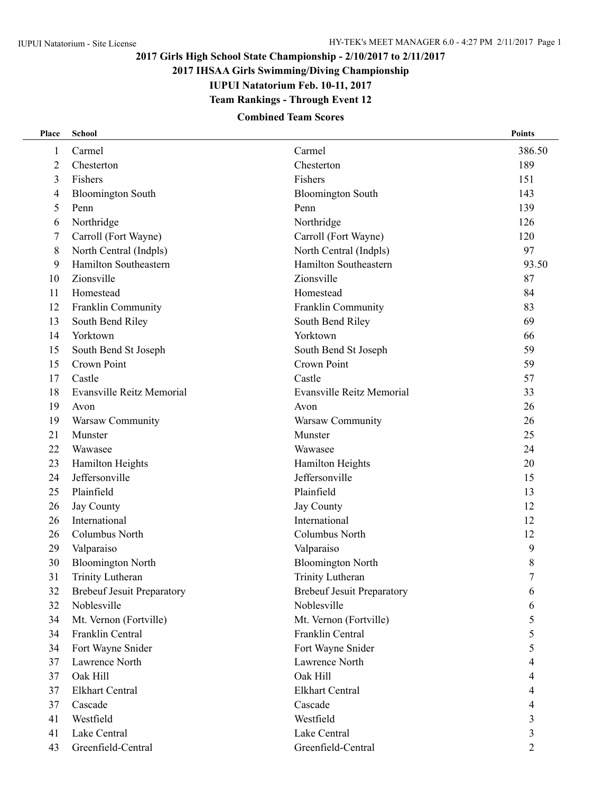# **2017 Girls High School State Championship - 2/10/2017 to 2/11/2017**

**2017 IHSAA Girls Swimming/Diving Championship**

**IUPUI Natatorium Feb. 10-11, 2017**

**Team Rankings - Through Event 12**

### **Combined Team Scores**

| Place | <b>School</b>                     |                                   | <b>Points</b>    |
|-------|-----------------------------------|-----------------------------------|------------------|
| 1     | Carmel                            | Carmel                            | 386.50           |
| 2     | Chesterton                        | Chesterton                        | 189              |
| 3     | Fishers                           | Fishers                           | 151              |
| 4     | <b>Bloomington South</b>          | <b>Bloomington South</b>          | 143              |
| 5     | Penn                              | Penn                              | 139              |
| 6     | Northridge                        | Northridge                        | 126              |
| 7     | Carroll (Fort Wayne)              | Carroll (Fort Wayne)              | 120              |
| 8     | North Central (Indpls)            | North Central (Indpls)            | 97               |
| 9     | Hamilton Southeastern             | Hamilton Southeastern             | 93.50            |
| 10    | Zionsville                        | Zionsville                        | 87               |
| 11    | Homestead                         | Homestead                         | 84               |
| 12    | Franklin Community                | Franklin Community                | 83               |
| 13    | South Bend Riley                  | South Bend Riley                  | 69               |
| 14    | Yorktown                          | Yorktown                          | 66               |
| 15    | South Bend St Joseph              | South Bend St Joseph              | 59               |
| 15    | Crown Point                       | Crown Point                       | 59               |
| 17    | Castle                            | Castle                            | 57               |
| 18    | <b>Evansville Reitz Memorial</b>  | <b>Evansville Reitz Memorial</b>  | 33               |
| 19    | Avon                              | Avon                              | 26               |
| 19    | Warsaw Community                  | Warsaw Community                  | 26               |
| 21    | Munster                           | Munster                           | 25               |
| 22    | Wawasee                           | Wawasee                           | 24               |
| 23    | Hamilton Heights                  | Hamilton Heights                  | 20               |
| 24    | Jeffersonville                    | Jeffersonville                    | 15               |
| 25    | Plainfield                        | Plainfield                        | 13               |
| 26    | Jay County                        | Jay County                        | 12               |
| 26    | International                     | International                     | 12               |
| 26    | Columbus North                    | Columbus North                    | 12               |
| 29    | Valparaiso                        | Valparaiso                        | 9                |
| 30    | <b>Bloomington North</b>          | <b>Bloomington North</b>          | 8                |
| 31    | Trinity Lutheran                  | Trinity Lutheran                  | $\boldsymbol{7}$ |
| 32    | <b>Brebeuf Jesuit Preparatory</b> | <b>Brebeuf Jesuit Preparatory</b> | 6                |
| 32    | Noblesville                       | Noblesville                       | 6                |
| 34    | Mt. Vernon (Fortville)            | Mt. Vernon (Fortville)            | 5                |
| 34    | Franklin Central                  | Franklin Central                  | 5                |
| 34    | Fort Wayne Snider                 | Fort Wayne Snider                 | 5                |
| 37    | Lawrence North                    | Lawrence North                    | 4                |
| 37    | Oak Hill                          | Oak Hill                          | 4                |
| 37    | <b>Elkhart Central</b>            | <b>Elkhart Central</b>            | 4                |
| 37    | Cascade                           | Cascade                           | 4                |
| 41    | Westfield                         | Westfield                         | 3                |
| 41    | Lake Central                      | Lake Central                      | 3                |
| 43    | Greenfield-Central                | Greenfield-Central                | $\overline{2}$   |